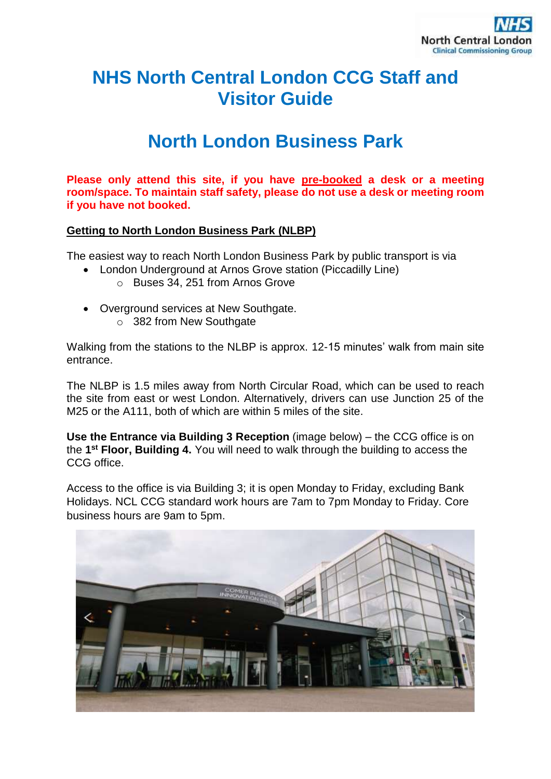

# **NHS North Central London CCG Staff and Visitor Guide**

# **North London Business Park**

**Please only attend this site, if you have pre-booked a desk or a meeting room/space. To maintain staff safety, please do not use a desk or meeting room if you have not booked.**

### **Getting to North London Business Park (NLBP)**

The easiest way to reach North London Business Park by public transport is via

- London Underground at Arnos Grove station (Piccadilly Line)
	- o Buses 34, 251 from Arnos Grove
- Overground services at New Southgate. o 382 from New Southgate

Walking from the stations to the NLBP is approx. 12-15 minutes' walk from main site entrance.

The NLBP is 1.5 miles away from North Circular Road, which can be used to reach the site from east or west London. Alternatively, drivers can use Junction 25 of the M25 or the A111, both of which are within 5 miles of the site.

**Use the Entrance via Building 3 Reception** (image below) – the CCG office is on the **1 st Floor, Building 4.** You will need to walk through the building to access the CCG office.

Access to the office is via Building 3; it is open Monday to Friday, excluding Bank Holidays. NCL CCG standard work hours are 7am to 7pm Monday to Friday. Core business hours are 9am to 5pm.

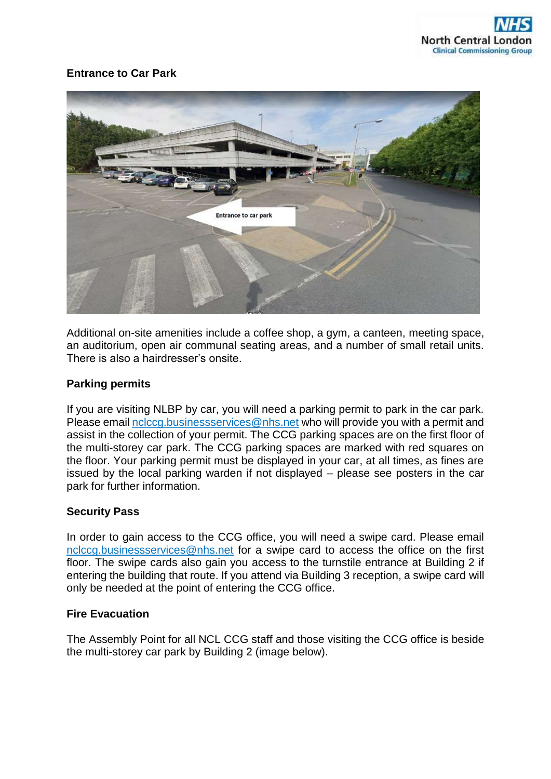## **Entrance to Car Park**



Additional on-site amenities include a coffee shop, a gym, a canteen, meeting space, an auditorium, open air communal seating areas, and a number of small retail units. There is also a hairdresser's onsite.

#### **Parking permits**

If you are visiting NLBP by car, you will need a parking permit to park in the car park. Please emai[l nclccg.businessservices@nhs.net](mailto:nclccg.businessservices@nhs.net) who will provide you with a permit and assist in the collection of your permit. The CCG parking spaces are on the first floor of the multi-storey car park. The CCG parking spaces are marked with red squares on the floor. Your parking permit must be displayed in your car, at all times, as fines are issued by the local parking warden if not displayed – please see posters in the car park for further information.

#### **Security Pass**

In order to gain access to the CCG office, you will need a swipe card. Please email [nclccg.businessservices@nhs.net](mailto:nclccg.businessservices@nhs.net) for a swipe card to access the office on the first floor. The swipe cards also gain you access to the turnstile entrance at Building 2 if entering the building that route. If you attend via Building 3 reception, a swipe card will only be needed at the point of entering the CCG office.

#### **Fire Evacuation**

The Assembly Point for all NCL CCG staff and those visiting the CCG office is beside the multi-storey car park by Building 2 (image below).